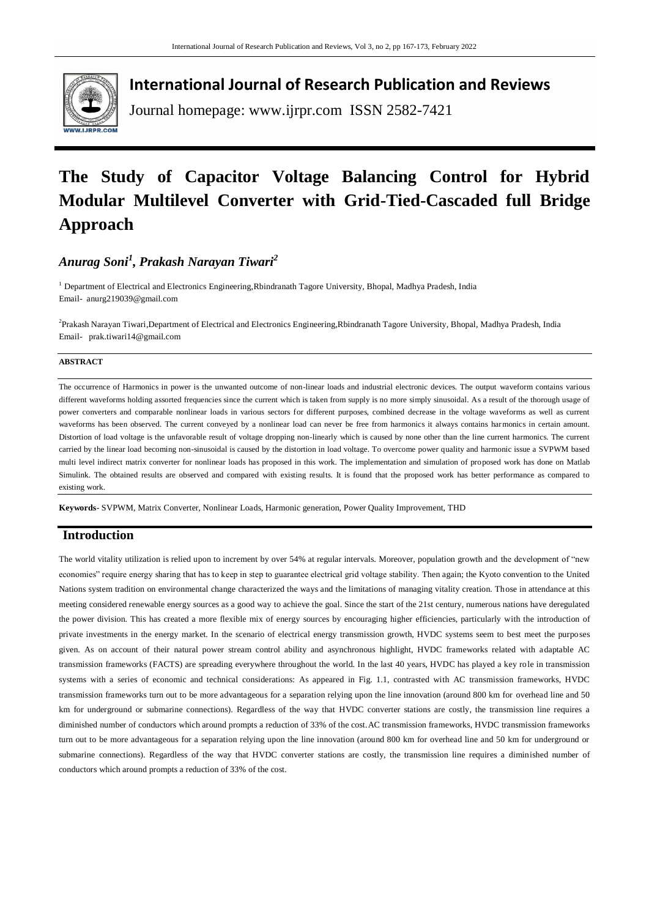

**International Journal of Research Publication and Reviews**

Journal homepage: www.ijrpr.com ISSN 2582-7421

# **The Study of Capacitor Voltage Balancing Control for Hybrid Modular Multilevel Converter with Grid-Tied-Cascaded full Bridge Approach**

# *Anurag Soni<sup>1</sup> , Prakash Narayan Tiwari<sup>2</sup>*

<sup>1</sup> Department of Electrical and Electronics Engineering,Rbindranath Tagore University, Bhopal, Madhya Pradesh, India [Email- anurg219039@gmail.com](mailto:Email-%20%20anurg219039@gmail.com)

2 Prakash Narayan Tiwari,Department of Electrical and Electronics Engineering,Rbindranath Tagore University, Bhopal, Madhya Pradesh, India [Email- prak.tiwari14@gmail.com](mailto:Email-%20%20%20prak.tiwari14@gmail.com) 

#### **ABSTRACT**

The occurrence of Harmonics in power is the unwanted outcome of non-linear loads and industrial electronic devices. The output waveform contains various different waveforms holding assorted frequencies since the current which is taken from supply is no more simply sinusoidal. As a result of the thorough usage of power converters and comparable nonlinear loads in various sectors for different purposes, combined decrease in the voltage waveforms as well as current waveforms has been observed. The current conveyed by a nonlinear load can never be free from harmonics it always contains harmonics in certain amount. Distortion of load voltage is the unfavorable result of voltage dropping non-linearly which is caused by none other than the line current harmonics. The current carried by the linear load becoming non-sinusoidal is caused by the distortion in load voltage. To overcome power quality and harmonic issue a SVPWM based multi level indirect matrix converter for nonlinear loads has proposed in this work. The implementation and simulation of proposed work has done on Matlab Simulink. The obtained results are observed and compared with existing results. It is found that the proposed work has better performance as compared to existing work.

**Keywords**- SVPWM, Matrix Converter, Nonlinear Loads, Harmonic generation, Power Quality Improvement, THD

## **Introduction**

The world vitality utilization is relied upon to increment by over 54% at regular intervals. Moreover, population growth and the development of "new economies" require energy sharing that has to keep in step to guarantee electrical grid voltage stability. Then again; the Kyoto convention to the United Nations system tradition on environmental change characterized the ways and the limitations of managing vitality creation. Those in attendance at this meeting considered renewable energy sources as a good way to achieve the goal. Since the start of the 21st century, numerous nations have deregulated the power division. This has created a more flexible mix of energy sources by encouraging higher efficiencies, particularly with the introduction of private investments in the energy market. In the scenario of electrical energy transmission growth, HVDC systems seem to best meet the purposes given. As on account of their natural power stream control ability and asynchronous highlight, HVDC frameworks related with adaptable AC transmission frameworks (FACTS) are spreading everywhere throughout the world. In the last 40 years, HVDC has played a key role in transmission systems with a series of economic and technical considerations: As appeared in Fig. 1.1, contrasted with AC transmission frameworks, HVDC transmission frameworks turn out to be more advantageous for a separation relying upon the line innovation (around 800 km for overhead line and 50 km for underground or submarine connections). Regardless of the way that HVDC converter stations are costly, the transmission line requires a diminished number of conductors which around prompts a reduction of 33% of the cost.AC transmission frameworks, HVDC transmission frameworks turn out to be more advantageous for a separation relying upon the line innovation (around 800 km for overhead line and 50 km for underground or submarine connections). Regardless of the way that HVDC converter stations are costly, the transmission line requires a diminished number of conductors which around prompts a reduction of 33% of the cost.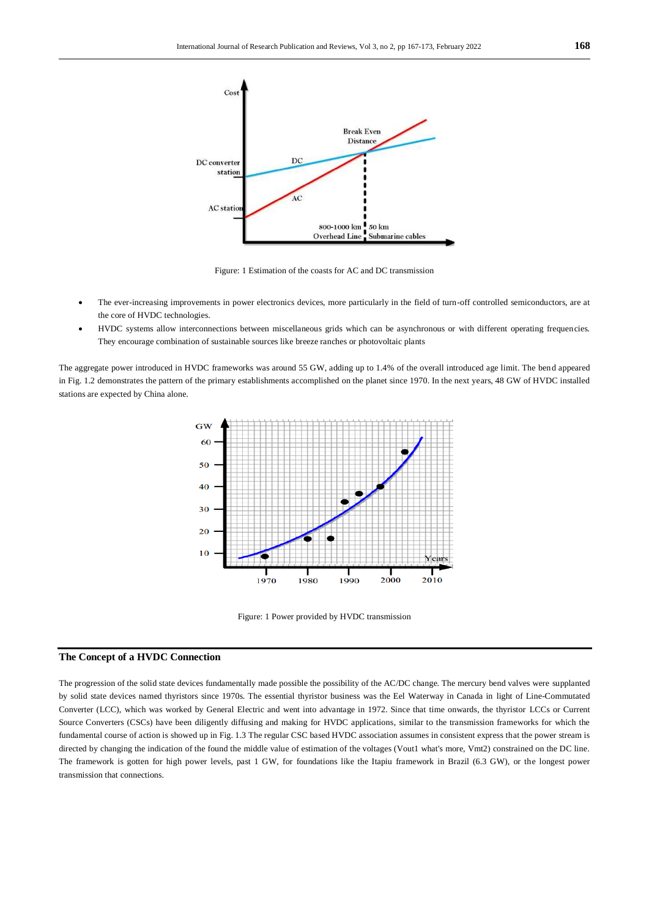

Figure: 1 Estimation of the coasts for AC and DC transmission

- The ever-increasing improvements in power electronics devices, more particularly in the field of turn-off controlled semiconductors, are at the core of HVDC technologies.
- HVDC systems allow interconnections between miscellaneous grids which can be asynchronous or with different operating frequencies. They encourage combination of sustainable sources like breeze ranches or photovoltaic plants

The aggregate power introduced in HVDC frameworks was around 55 GW, adding up to 1.4% of the overall introduced age limit. The bend appeared in Fig. 1.2 demonstrates the pattern of the primary establishments accomplished on the planet since 1970. In the next years, 48 GW of HVDC installed stations are expected by China alone.



Figure: 1 Power provided by HVDC transmission

#### **The Concept of a HVDC Connection**

The progression of the solid state devices fundamentally made possible the possibility of the AC/DC change. The mercury bend valves were supplanted by solid state devices named thyristors since 1970s. The essential thyristor business was the Eel Waterway in Canada in light of Line-Commutated Converter (LCC), which was worked by General Electric and went into advantage in 1972. Since that time onwards, the thyristor LCCs or Current Source Converters (CSCs) have been diligently diffusing and making for HVDC applications, similar to the transmission frameworks for which the fundamental course of action is showed up in Fig. 1.3 The regular CSC based HVDC association assumes in consistent express that the power stream is directed by changing the indication of the found the middle value of estimation of the voltages (Vout1 what's more, Vmt2) constrained on the DC line. The framework is gotten for high power levels, past 1 GW, for foundations like the Itapiu framework in Brazil (6.3 GW), or the longest power transmission that connections.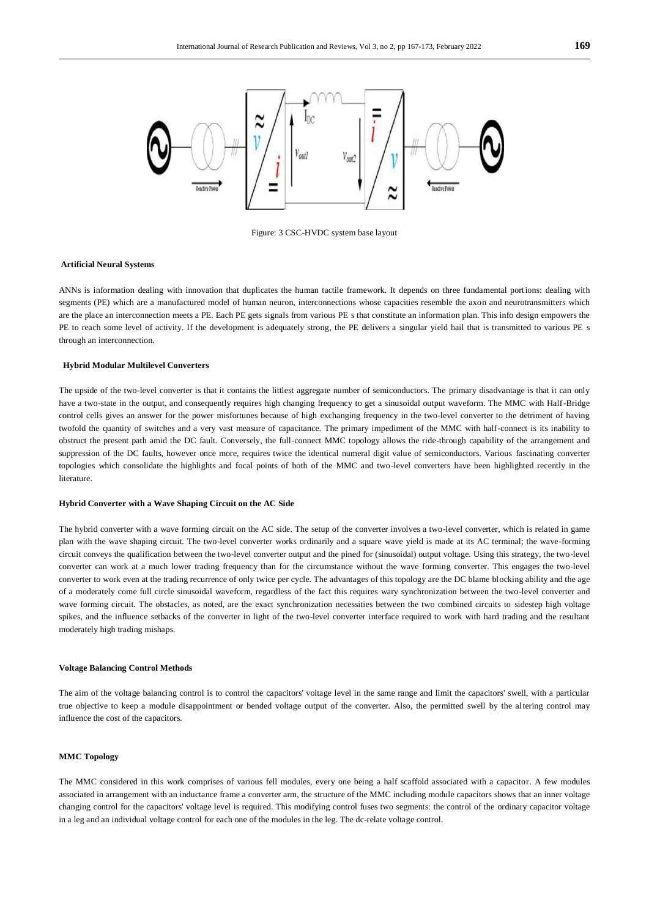

Figure: 3 CSC-HVDC system base layout

#### **Artificial Neural Systems**

ANNs is information dealing with innovation that duplicates the human tactile framework. It depends on three fundamental portions: dealing with segments (PE) which are a manufactured model of human neuron, interconnections whose capacities resemble the axon and neurotransmitters which are the place an interconnection meets a PE. Each PE gets signals from various PE s that constitute an information plan. This info design empowers the PE to reach some level of activity. If the development is adequately strong, the PE delivers a singular yield hail that is transmitted to various PE s through an interconnection.

#### **Hybrid Modular Multilevel Converters**

The upside of the two-level converter is that it contains the littlest aggregate number of semiconductors. The primary disadvantage is that it can only have a two-state in the output, and consequently requires high changing frequency to get a sinusoidal output waveform. The MMC with Half-Bridge control cells gives an answer for the power misfortunes because of high exchanging frequency in the two-level converter to the detriment of having twofold the quantity of switches and a very vast measure of capacitance. The primary impediment of the MMC with half-connect is its inability to obstruct the present path amid the DC fault. Conversely, the full-connect MMC topology allows the ride-through capability of the arrangement and suppression of the DC faults, however once more, requires twice the identical numeral digit value of semiconductors. Various fascinating converter topologies which consolidate the highlights and focal points of both of the MMC and two-level converters have been highlighted recently in the literature.

#### **Hybrid Converter with a Wave Shaping Circuit on the AC Side**

The hybrid converter with a wave forming circuit on the AC side. The setup of the converter involves a two-level converter, which is related in game plan with the wave shaping circuit. The two-level converter works ordinarily and a square wave yield is made at its AC terminal; the wave-forming circuit conveys the qualification between the two-level converter output and the pined for (sinusoidal) output voltage. Using this strategy, the two-level converter can work at a much lower trading frequency than for the circumstance without the wave forming converter. This engages the two-level converter to work even at the trading recurrence of only twice per cycle. The advantages of this topology are the DC blame blocking ability and the age of a moderately come full circle sinusoidal waveform, regardless of the fact this requires wary synchronization between the two-level converter and wave forming circuit. The obstacles, as noted, are the exact synchronization necessities between the two combined circuits to sidestep high voltage spikes, and the influence setbacks of the converter in light of the two-level converter interface required to work with hard trading and the resultant moderately high trading mishaps.

#### **Voltage Balancing Control Methods**

The aim of the voltage balancing control is to control the capacitors' voltage level in the same range and limit the capacitors' swell, with a particular true objective to keep a module disappointment or bended voltage output of the converter. Also, the permitted swell by the altering control may influence the cost of the capacitors.

#### **MMC Topology**

The MMC considered in this work comprises of various fell modules, every one being a half scaffold associated with a capacitor. A few modules associated in arrangement with an inductance frame a converter arm, the structure of the MMC including module capacitors shows that an inner voltage changing control for the capacitors' voltage level is required. This modifying control fuses two segments: the control of the ordinary capacitor voltage in a leg and an individual voltage control for each one of the modules in the leg. The dc-relate voltage control.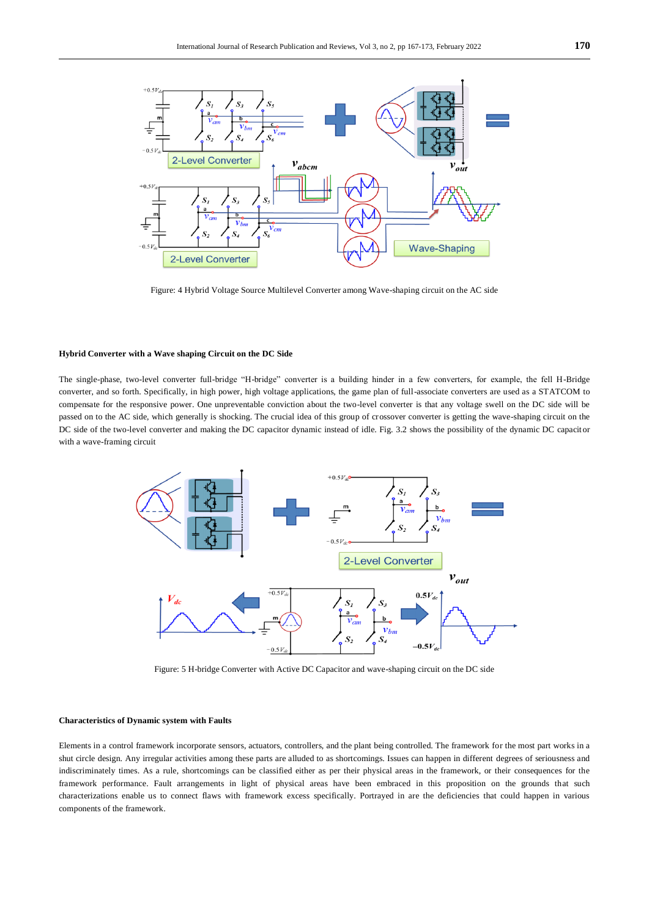

Figure: 4 Hybrid Voltage Source Multilevel Converter among Wave-shaping circuit on the AC side

#### **Hybrid Converter with a Wave shaping Circuit on the DC Side**

The single-phase, two-level converter full-bridge "H-bridge" converter is a building hinder in a few converters, for example, the fell H-Bridge converter, and so forth. Specifically, in high power, high voltage applications, the game plan of full-associate converters are used as a STATCOM to compensate for the responsive power. One unpreventable conviction about the two-level converter is that any voltage swell on the DC side will be passed on to the AC side, which generally is shocking. The crucial idea of this group of crossover converter is getting the wave-shaping circuit on the DC side of the two-level converter and making the DC capacitor dynamic instead of idle. Fig. 3.2 shows the possibility of the dynamic DC capacitor with a wave-framing circuit



Figure: 5 H-bridge Converter with Active DC Capacitor and wave-shaping circuit on the DC side

#### **Characteristics of Dynamic system with Faults**

Elements in a control framework incorporate sensors, actuators, controllers, and the plant being controlled. The framework for the most part works in a shut circle design. Any irregular activities among these parts are alluded to as shortcomings. Issues can happen in different degrees of seriousness and indiscriminately times. As a rule, shortcomings can be classified either as per their physical areas in the framework, or their consequences for the framework performance. Fault arrangements in light of physical areas have been embraced in this proposition on the grounds that such characterizations enable us to connect flaws with framework excess specifically. Portrayed in are the deficiencies that could happen in various components of the framework.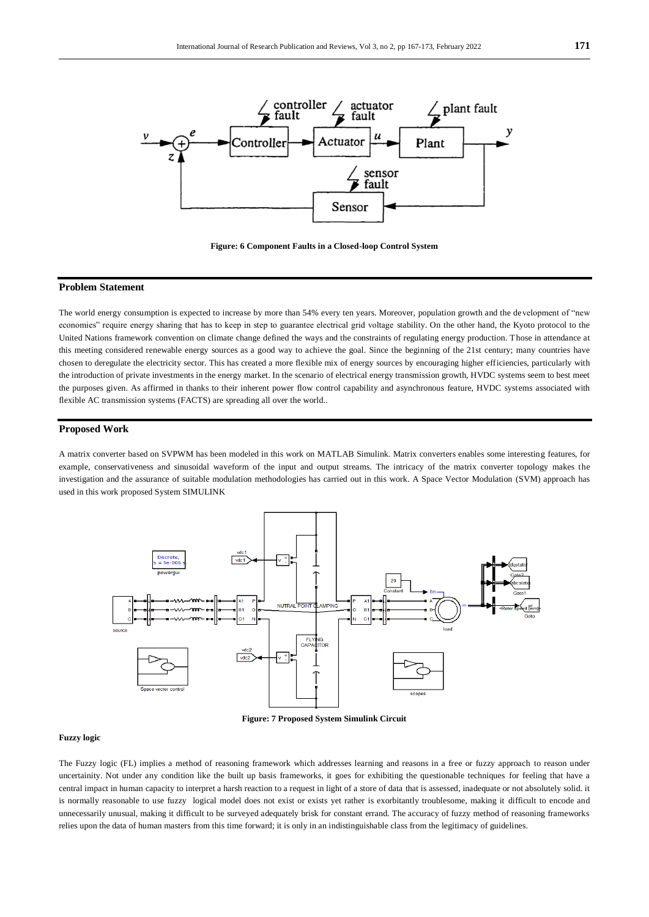

**Figure: 6 Component Faults in a Closed-loop Control System**

#### **Problem Statement**

The world energy consumption is expected to increase by more than 54% every ten years. Moreover, population growth and the development of "new economies" require energy sharing that has to keep in step to guarantee electrical grid voltage stability. On the other hand, the Kyoto protocol to the United Nations framework convention on climate change defined the ways and the constraints of regulating energy production. Those in attendance at this meeting considered renewable energy sources as a good way to achieve the goal. Since the beginning of the 21st century; many countries have chosen to deregulate the electricity sector. This has created a more flexible mix of energy sources by encouraging higher efficiencies, particularly with the introduction of private investments in the energy market. In the scenario of electrical energy transmission growth, HVDC systems seem to best meet the purposes given. As affirmed in thanks to their inherent power flow control capability and asynchronous feature, HVDC systems associated with flexible AC transmission systems (FACTS) are spreading all over the world..

### **Proposed Work**

A matrix converter based on SVPWM has been modeled in this work on MATLAB Simulink. Matrix converters enables some interesting features, for example, conservativeness and sinusoidal waveform of the input and output streams. The intricacy of the matrix converter topology makes the investigation and the assurance of suitable modulation methodologies has carried out in this work. A Space Vector Modulation (SVM) approach has used in this work proposed System SIMULINK



**Figure: 7 Proposed System Simulink Circuit**

#### **Fuzzy logic**

The Fuzzy logic (FL) implies a method of reasoning framework which addresses learning and reasons in a free or fuzzy approach to reason under uncertainity. Not under any condition like the built up basis frameworks, it goes for exhibiting the questionable techniques for feeling that have a central impact in human capacity to interpret a harsh reaction to a request in light of a store of data that is assessed, inadequate or not absolutely solid. it is normally reasonable to use fuzzy logical model does not exist or exists yet rather is exorbitantly troublesome, making it difficult to encode and unnecessarily unusual, making it difficult to be surveyed adequately brisk for constant errand. The accuracy of fuzzy method of reasoning frameworks relies upon the data of human masters from this time forward; it is only in an indistinguishable class from the legitimacy of guidelines.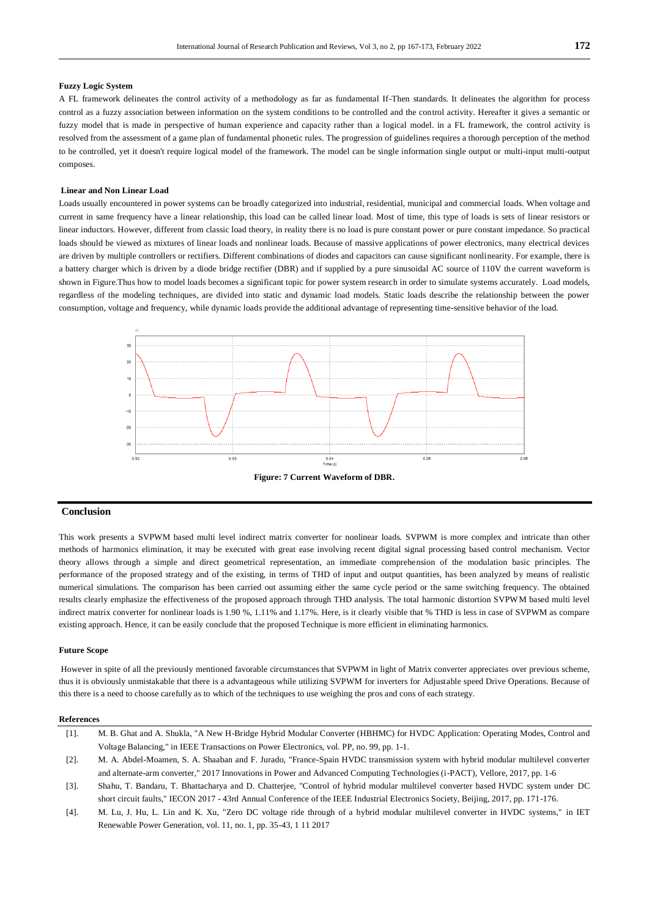#### **Fuzzy Logic System**

A FL framework delineates the control activity of a methodology as far as fundamental If-Then standards. It delineates the algorithm for process control as a fuzzy association between information on the system conditions to be controlled and the control activity. Hereafter it gives a semantic or fuzzy model that is made in perspective of human experience and capacity rather than a logical model. in a FL framework, the control activity is resolved from the assessment of a game plan of fundamental phonetic rules. The progression of guidelines requires a thorough perception of the method to be controlled, yet it doesn't require logical model of the framework. The model can be single information single output or multi-input multi-output composes.

#### **Linear and Non Linear Load**

Loads usually encountered in power systems can be broadly categorized into industrial, residential, municipal and commercial loads. When voltage and current in same frequency have a linear relationship, this load can be called linear load. Most of time, this type of loads is sets of linear resistors or linear inductors. However, different from classic load theory, in reality there is no load is pure constant power or pure constant impedance. So practical loads should be viewed as mixtures of linear loads and nonlinear loads. Because of massive applications of power electronics, many electrical devices are driven by multiple controllers or rectifiers. Different combinations of diodes and capacitors can cause significant nonlinearity. For example, there is a battery charger which is driven by a diode bridge rectifier (DBR) and if supplied by a pure sinusoidal AC source of 110V the current waveform is shown in Figure.Thus how to model loads becomes a significant topic for power system research in order to simulate systems accurately. Load models, regardless of the modeling techniques, are divided into static and dynamic load models. Static loads describe the relationship between the power consumption, voltage and frequency, while dynamic loads provide the additional advantage of representing time-sensitive behavior of the load.



#### **Conclusion**

This work presents a SVPWM based multi level indirect matrix converter for nonlinear loads. SVPWM is more complex and intricate than other methods of harmonics elimination, it may be executed with great ease involving recent digital signal processing based control mechanism. Vector theory allows through a simple and direct geometrical representation, an immediate comprehension of the modulation basic principles. The performance of the proposed strategy and of the existing, in terms of THD of input and output quantities, has been analyzed by means of realistic numerical simulations. The comparison has been carried out assuming either the same cycle period or the same switching frequency. The obtained results clearly emphasize the effectiveness of the proposed approach through THD analysis. The total harmonic distortion SVPWM based multi level indirect matrix converter for nonlinear loads is 1.90 %, 1.11% and 1.17%. Here, is it clearly visible that % THD is less in case of SVPWM as compare existing approach. Hence, it can be easily conclude that the proposed Technique is more efficient in eliminating harmonics.

#### **Future Scope**

However in spite of all the previously mentioned favorable circumstances that SVPWM in light of Matrix converter appreciates over previous scheme, thus it is obviously unmistakable that there is a advantageous while utilizing SVPWM for inverters for Adjustable speed Drive Operations. Because of this there is a need to choose carefully as to which of the techniques to use weighing the pros and cons of each strategy.

#### **References**

- [1]. M. B. Ghat and A. Shukla, "A New H-Bridge Hybrid Modular Converter (HBHMC) for HVDC Application: Operating Modes, Control and Voltage Balancing," in IEEE Transactions on Power Electronics, vol. PP, no. 99, pp. 1-1.
- [2]. M. A. Abdel-Moamen, S. A. Shaaban and F. Jurado, "France-Spain HVDC transmission system with hybrid modular multilevel converter and alternate-arm converter," 2017 Innovations in Power and Advanced Computing Technologies (i-PACT), Vellore, 2017, pp. 1-6
- [3]. Shahu, T. Bandaru, T. Bhattacharya and D. Chatterjee, "Control of hybrid modular multilevel converter based HVDC system under DC short circuit faults," IECON 2017 - 43rd Annual Conference of the IEEE Industrial Electronics Society, Beijing, 2017, pp. 171-176.
- [4]. M. Lu, J. Hu, L. Lin and K. Xu, "Zero DC voltage ride through of a hybrid modular multilevel converter in HVDC systems," in IET Renewable Power Generation, vol. 11, no. 1, pp. 35-43, 1 11 2017